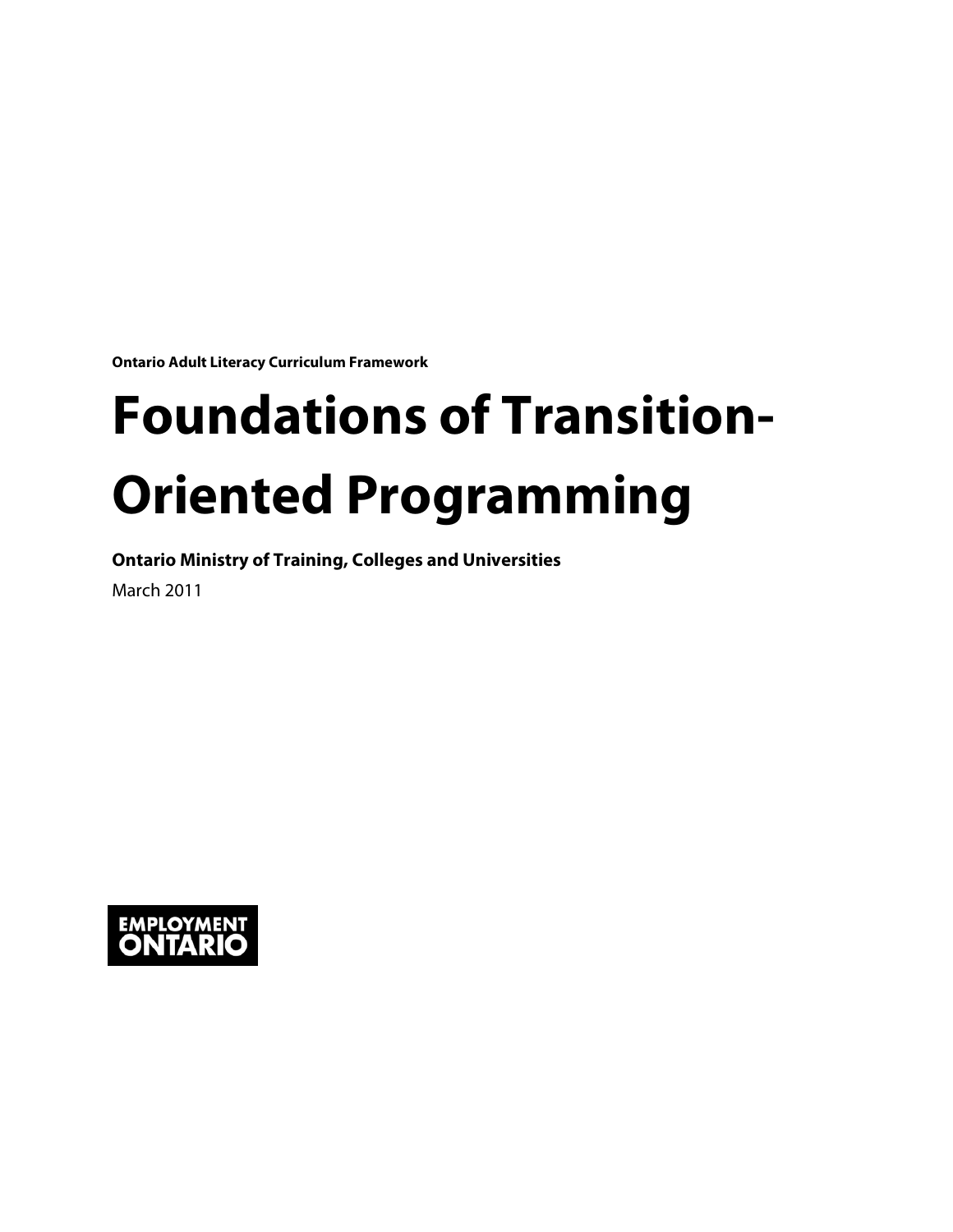**Ontario Adult Literacy Curriculum Framework**

# **Foundations of Transition-Oriented Programming**

**Ontario Ministry of Training, Colleges and Universities**

March 2011

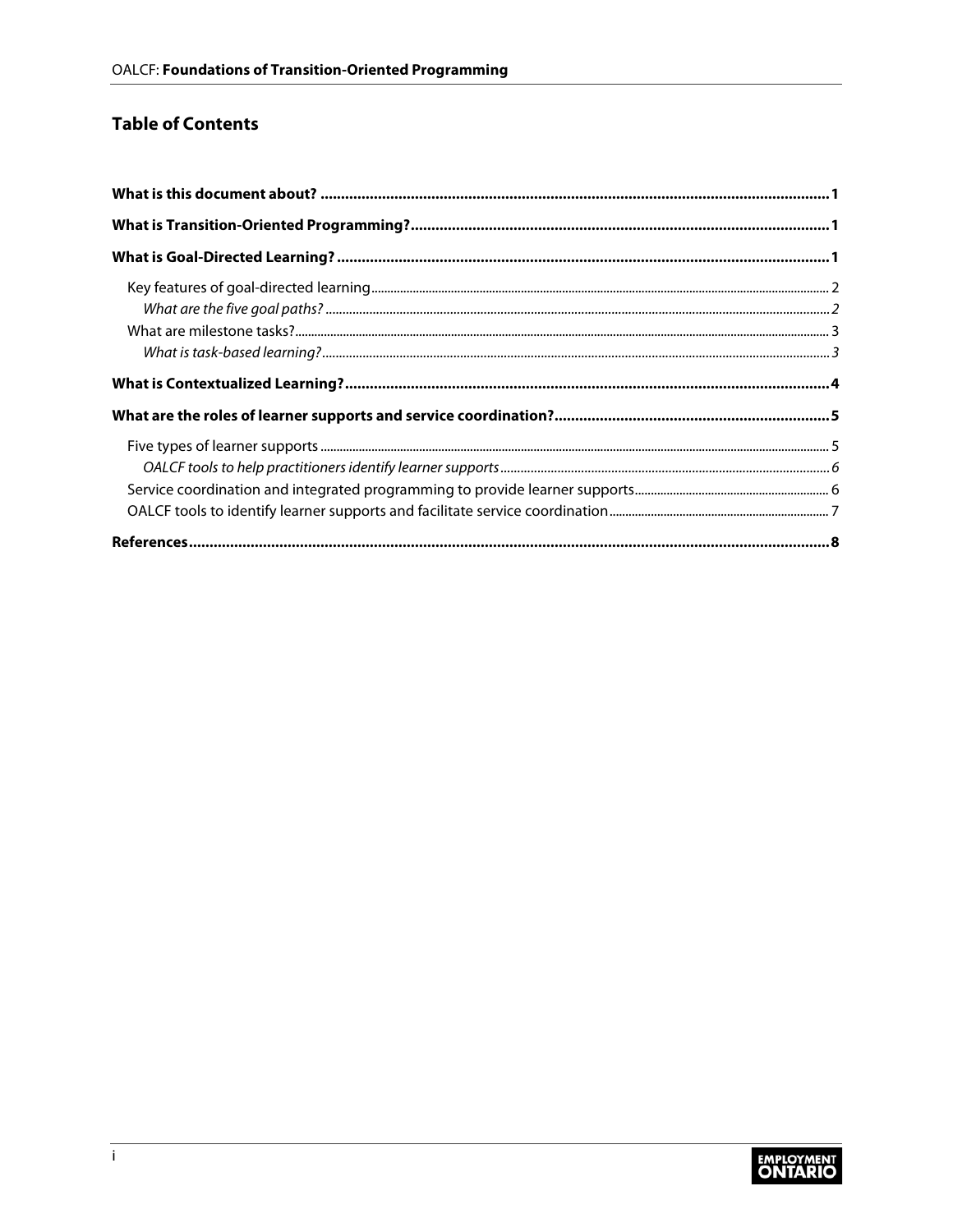#### **Table of Contents**

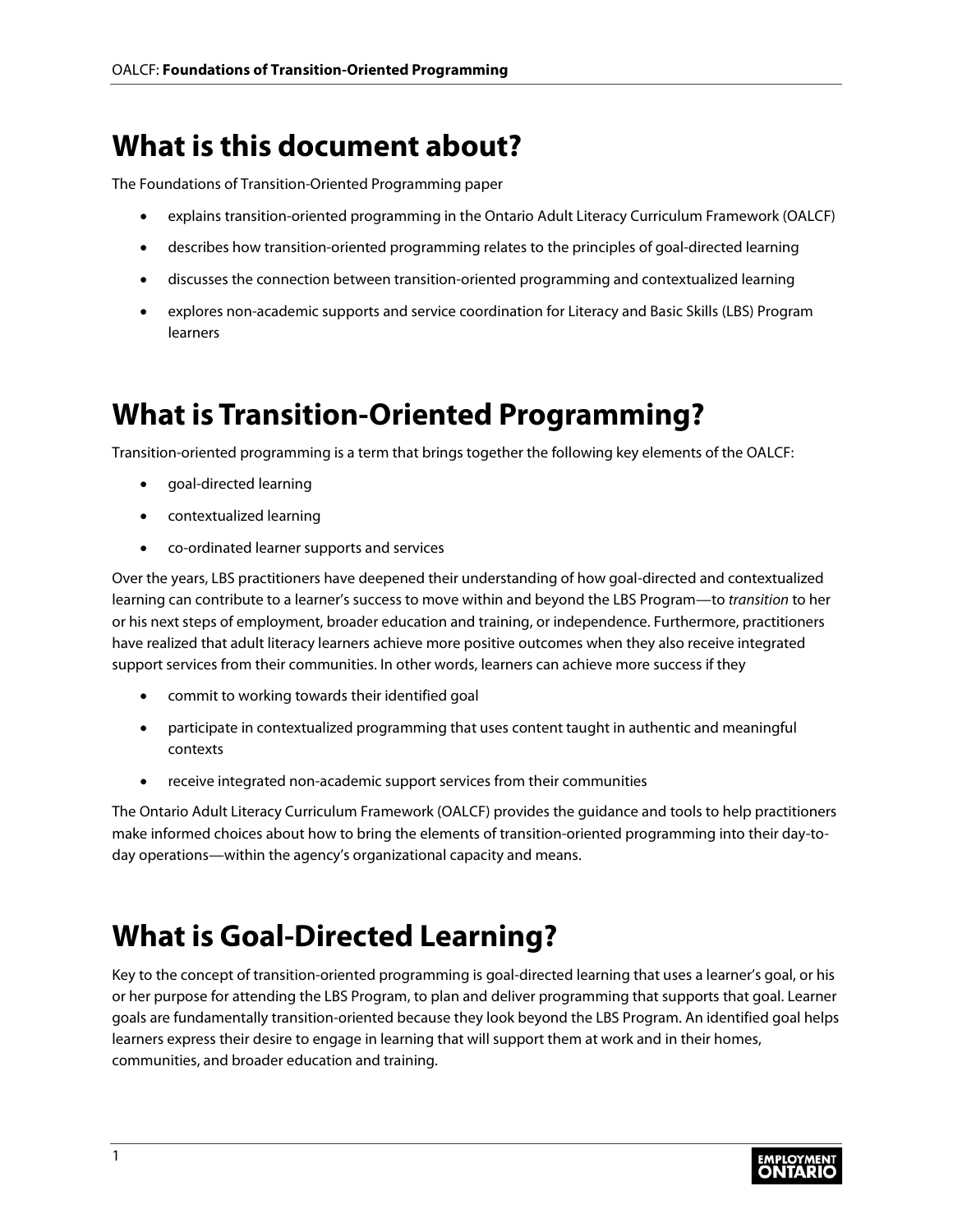### <span id="page-2-0"></span>**What is this document about?**

The Foundations of Transition-Oriented Programming paper

- explains transition-oriented programming in the Ontario Adult Literacy Curriculum Framework (OALCF)
- describes how transition-oriented programming relates to the principles of goal-directed learning
- discusses the connection between transition-oriented programming and contextualized learning
- explores non-academic supports and service coordination for Literacy and Basic Skills (LBS) Program learners

### <span id="page-2-1"></span>**What is Transition-Oriented Programming?**

Transition-oriented programming is a term that brings together the following key elements of the OALCF:

- goal-directed learning
- contextualized learning
- co-ordinated learner supports and services

Over the years, LBS practitioners have deepened their understanding of how goal-directed and contextualized learning can contribute to a learner's success to move within and beyond the LBS Program—to *transition* to her or his next steps of employment, broader education and training, or independence. Furthermore, practitioners have realized that adult literacy learners achieve more positive outcomes when they also receive integrated support services from their communities. In other words, learners can achieve more success if they

- commit to working towards their identified goal
- participate in contextualized programming that uses content taught in authentic and meaningful contexts
- receive integrated non-academic support services from their communities

The Ontario Adult Literacy Curriculum Framework (OALCF) provides the guidance and tools to help practitioners make informed choices about how to bring the elements of transition-oriented programming into their day-today operations—within the agency's organizational capacity and means.

### <span id="page-2-2"></span>**What is Goal-Directed Learning?**

Key to the concept of transition-oriented programming is goal-directed learning that uses a learner's goal, or his or her purpose for attending the LBS Program, to plan and deliver programming that supports that goal. Learner goals are fundamentally transition-oriented because they look beyond the LBS Program. An identified goal helps learners express their desire to engage in learning that will support them at work and in their homes, communities, and broader education and training.

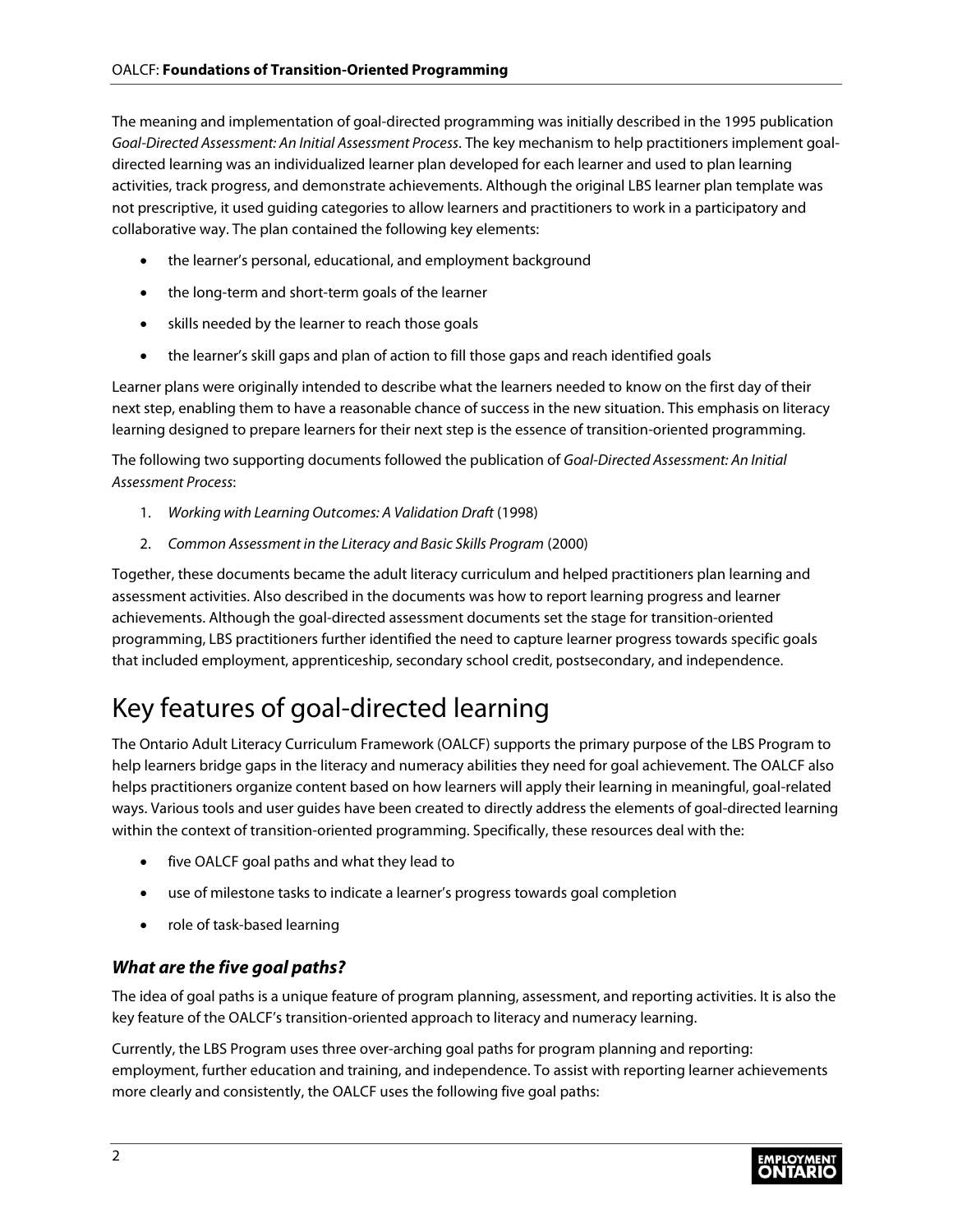The meaning and implementation of goal-directed programming was initially described in the 1995 publication *Goal-Directed Assessment: An Initial Assessment Process*. The key mechanism to help practitioners implement goaldirected learning was an individualized learner plan developed for each learner and used to plan learning activities, track progress, and demonstrate achievements. Although the original LBS learner plan template was not prescriptive, it used guiding categories to allow learners and practitioners to work in a participatory and collaborative way. The plan contained the following key elements:

- the learner's personal, educational, and employment background
- the long-term and short-term goals of the learner
- skills needed by the learner to reach those goals
- the learner's skill gaps and plan of action to fill those gaps and reach identified goals

Learner plans were originally intended to describe what the learners needed to know on the first day of their next step, enabling them to have a reasonable chance of success in the new situation. This emphasis on literacy learning designed to prepare learners for their next step is the essence of transition-oriented programming.

The following two supporting documents followed the publication of *Goal-Directed Assessment: An Initial Assessment Process*:

- 1. *Working with Learning Outcomes: A Validation Draft* (1998)
- 2. *Common Assessment in the Literacy and Basic Skills Program* (2000)

Together, these documents became the adult literacy curriculum and helped practitioners plan learning and assessment activities. Also described in the documents was how to report learning progress and learner achievements. Although the goal-directed assessment documents set the stage for transition-oriented programming, LBS practitioners further identified the need to capture learner progress towards specific goals that included employment, apprenticeship, secondary school credit, postsecondary, and independence.

### <span id="page-3-0"></span>Key features of goal-directed learning

The Ontario Adult Literacy Curriculum Framework (OALCF) supports the primary purpose of the LBS Program to help learners bridge gaps in the literacy and numeracy abilities they need for goal achievement. The OALCF also helps practitioners organize content based on how learners will apply their learning in meaningful, goal-related ways. Various tools and user guides have been created to directly address the elements of goal-directed learning within the context of transition-oriented programming. Specifically, these resources deal with the:

- five OALCF goal paths and what they lead to
- use of milestone tasks to indicate a learner's progress towards goal completion
- role of task-based learning

#### <span id="page-3-1"></span>*What are the five goal paths?*

The idea of goal paths is a unique feature of program planning, assessment, and reporting activities. It is also the key feature of the OALCF's transition-oriented approach to literacy and numeracy learning.

Currently, the LBS Program uses three over-arching goal paths for program planning and reporting: employment, further education and training, and independence. To assist with reporting learner achievements more clearly and consistently, the OALCF uses the following five goal paths:

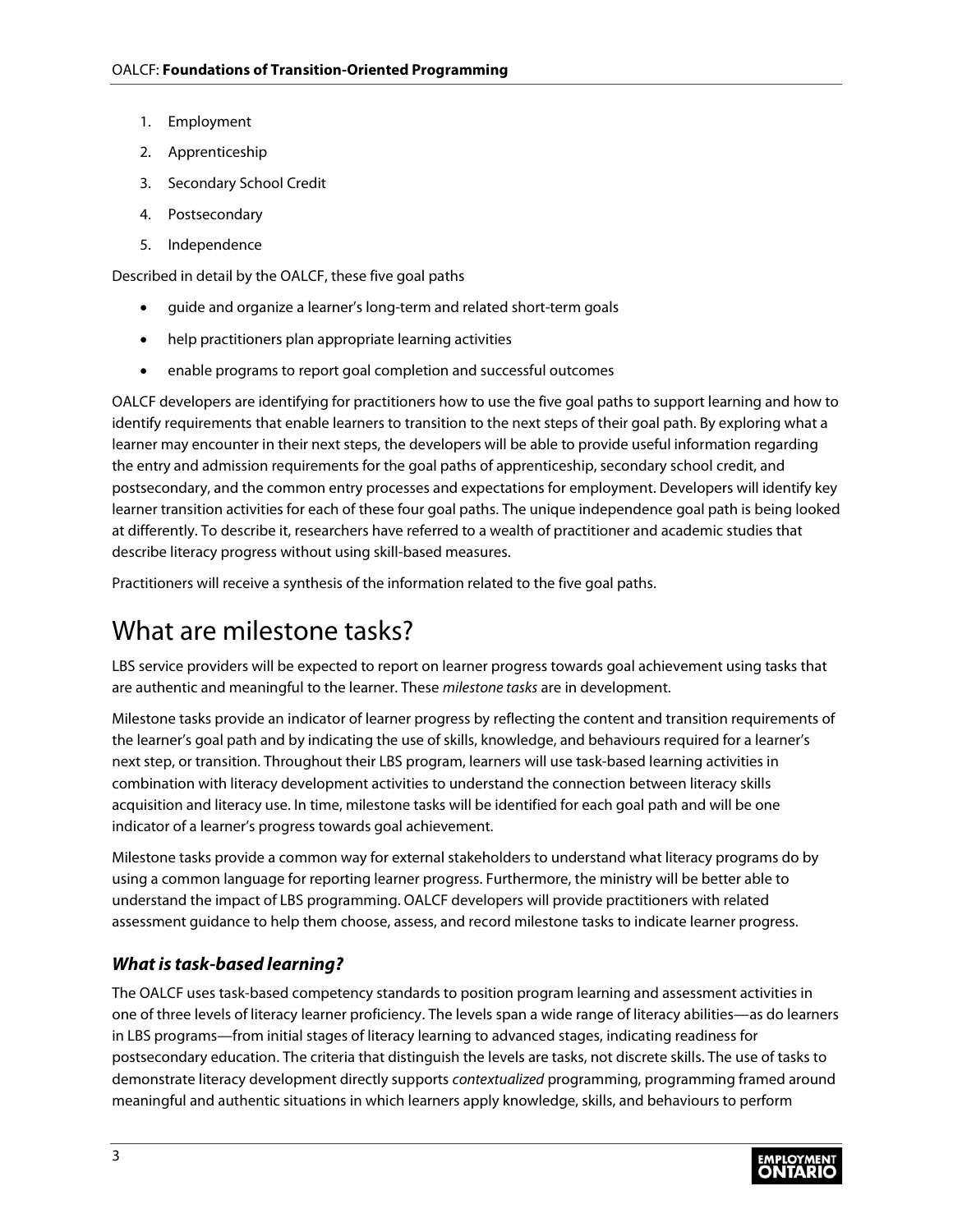- 1. Employment
- 2. Apprenticeship
- 3. Secondary School Credit
- 4. Postsecondary
- 5. Independence

Described in detail by the OALCF, these five goal paths

- guide and organize a learner's long-term and related short-term goals
- help practitioners plan appropriate learning activities
- enable programs to report goal completion and successful outcomes

OALCF developers are identifying for practitioners how to use the five goal paths to support learning and how to identify requirements that enable learners to transition to the next steps of their goal path. By exploring what a learner may encounter in their next steps, the developers will be able to provide useful information regarding the entry and admission requirements for the goal paths of apprenticeship, secondary school credit, and postsecondary, and the common entry processes and expectations for employment. Developers will identify key learner transition activities for each of these four goal paths. The unique independence goal path is being looked at differently. To describe it, researchers have referred to a wealth of practitioner and academic studies that describe literacy progress without using skill-based measures.

Practitioners will receive a synthesis of the information related to the five goal paths.

### <span id="page-4-0"></span>What are milestone tasks?

LBS service providers will be expected to report on learner progress towards goal achievement using tasks that are authentic and meaningful to the learner. These *milestone tasks* are in development.

Milestone tasks provide an indicator of learner progress by reflecting the content and transition requirements of the learner's goal path and by indicating the use of skills, knowledge, and behaviours required for a learner's next step, or transition. Throughout their LBS program, learners will use task-based learning activities in combination with literacy development activities to understand the connection between literacy skills acquisition and literacy use. In time, milestone tasks will be identified for each goal path and will be one indicator of a learner's progress towards goal achievement.

Milestone tasks provide a common way for external stakeholders to understand what literacy programs do by using a common language for reporting learner progress. Furthermore, the ministry will be better able to understand the impact of LBS programming. OALCF developers will provide practitioners with related assessment guidance to help them choose, assess, and record milestone tasks to indicate learner progress.

#### <span id="page-4-1"></span>*What is task-based learning?*

The OALCF uses task-based competency standards to position program learning and assessment activities in one of three levels of literacy learner proficiency. The levels span a wide range of literacy abilities—as do learners in LBS programs—from initial stages of literacy learning to advanced stages, indicating readiness for postsecondary education. The criteria that distinguish the levels are tasks, not discrete skills. The use of tasks to demonstrate literacy development directly supports *contextualized* programming, programming framed around meaningful and authentic situations in which learners apply knowledge, skills, and behaviours to perform

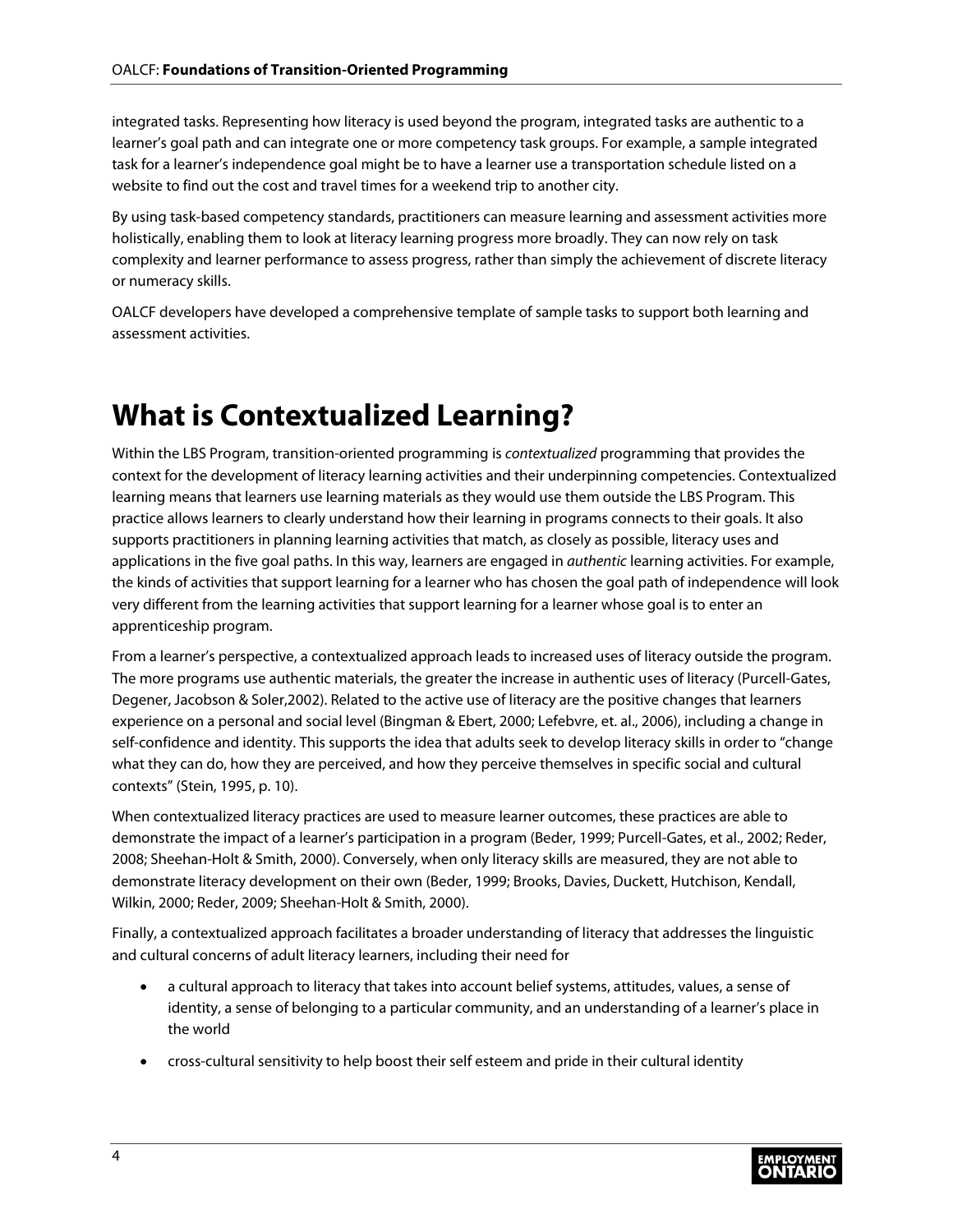integrated tasks. Representing how literacy is used beyond the program, integrated tasks are authentic to a learner's goal path and can integrate one or more competency task groups. For example, a sample integrated task for a learner's independence goal might be to have a learner use a transportation schedule listed on a website to find out the cost and travel times for a weekend trip to another city.

By using task-based competency standards, practitioners can measure learning and assessment activities more holistically, enabling them to look at literacy learning progress more broadly. They can now rely on task complexity and learner performance to assess progress, rather than simply the achievement of discrete literacy or numeracy skills.

OALCF developers have developed a comprehensive template of sample tasks to support both learning and assessment activities.

## <span id="page-5-0"></span>**What is Contextualized Learning?**

Within the LBS Program, transition-oriented programming is *contextualized* programming that provides the context for the development of literacy learning activities and their underpinning competencies. Contextualized learning means that learners use learning materials as they would use them outside the LBS Program. This practice allows learners to clearly understand how their learning in programs connects to their goals. It also supports practitioners in planning learning activities that match, as closely as possible, literacy uses and applications in the five goal paths. In this way, learners are engaged in *authentic* learning activities. For example, the kinds of activities that support learning for a learner who has chosen the goal path of independence will look very different from the learning activities that support learning for a learner whose goal is to enter an apprenticeship program.

From a learner's perspective, a contextualized approach leads to increased uses of literacy outside the program. The more programs use authentic materials, the greater the increase in authentic uses of literacy (Purcell-Gates, Degener, Jacobson & Soler,2002). Related to the active use of literacy are the positive changes that learners experience on a personal and social level (Bingman & Ebert, 2000; Lefebvre, et. al., 2006), including a change in self-confidence and identity. This supports the idea that adults seek to develop literacy skills in order to "change what they can do, how they are perceived, and how they perceive themselves in specific social and cultural contexts" (Stein, 1995, p. 10).

When contextualized literacy practices are used to measure learner outcomes, these practices are able to demonstrate the impact of a learner's participation in a program (Beder, 1999; Purcell-Gates, et al., 2002; Reder, 2008; Sheehan-Holt & Smith, 2000). Conversely, when only literacy skills are measured, they are not able to demonstrate literacy development on their own (Beder, 1999; Brooks, Davies, Duckett, Hutchison, Kendall, Wilkin, 2000; Reder, 2009; Sheehan-Holt & Smith, 2000).

Finally, a contextualized approach facilitates a broader understanding of literacy that addresses the linguistic and cultural concerns of adult literacy learners, including their need for

- a cultural approach to literacy that takes into account belief systems, attitudes, values, a sense of identity, a sense of belonging to a particular community, and an understanding of a learner's place in the world
- cross-cultural sensitivity to help boost their self esteem and pride in their cultural identity

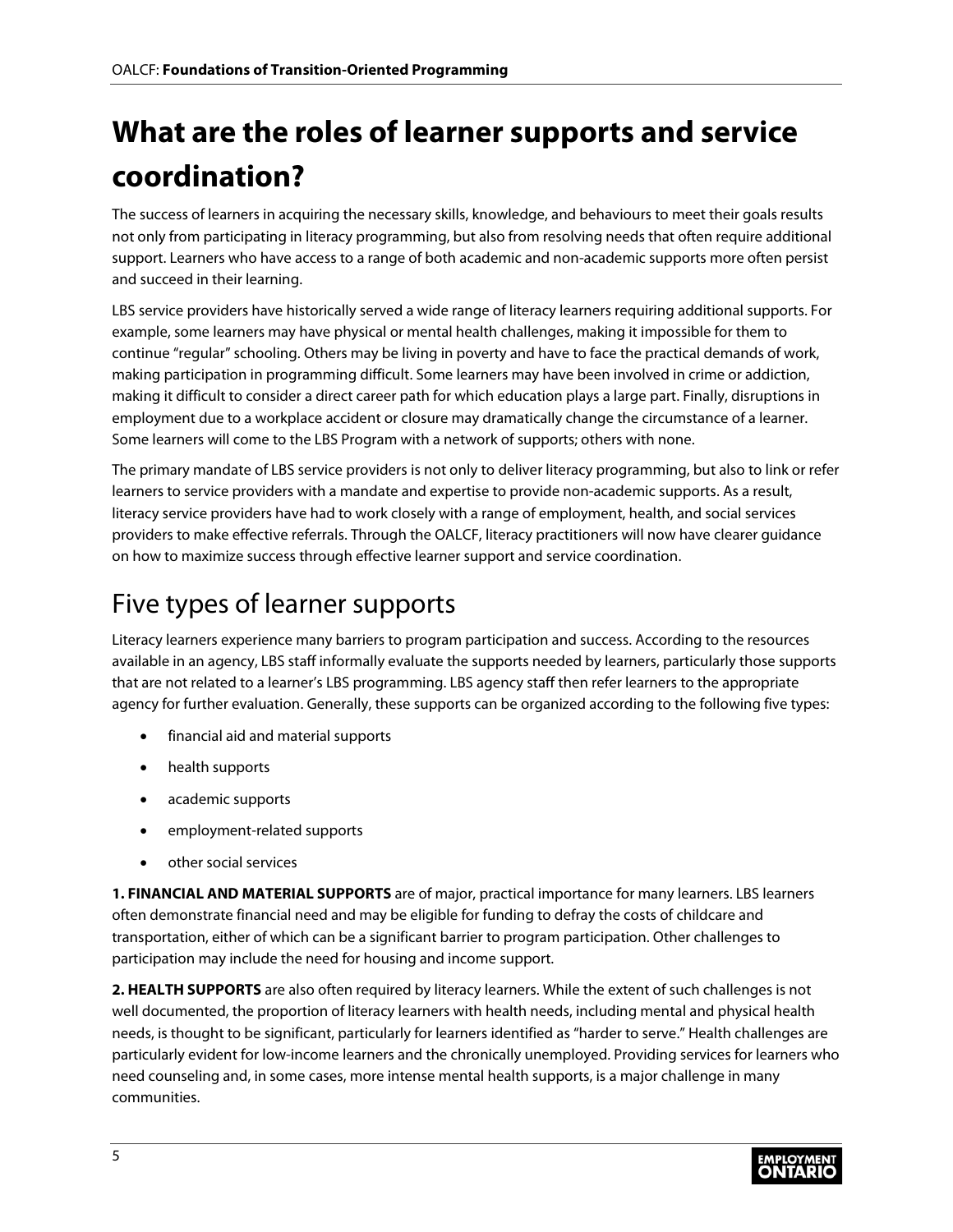# <span id="page-6-0"></span>**What are the roles of learner supports and service coordination?**

The success of learners in acquiring the necessary skills, knowledge, and behaviours to meet their goals results not only from participating in literacy programming, but also from resolving needs that often require additional support. Learners who have access to a range of both academic and non-academic supports more often persist and succeed in their learning.

LBS service providers have historically served a wide range of literacy learners requiring additional supports. For example, some learners may have physical or mental health challenges, making it impossible for them to continue "regular" schooling. Others may be living in poverty and have to face the practical demands of work, making participation in programming difficult. Some learners may have been involved in crime or addiction, making it difficult to consider a direct career path for which education plays a large part. Finally, disruptions in employment due to a workplace accident or closure may dramatically change the circumstance of a learner. Some learners will come to the LBS Program with a network of supports; others with none.

The primary mandate of LBS service providers is not only to deliver literacy programming, but also to link or refer learners to service providers with a mandate and expertise to provide non-academic supports. As a result, literacy service providers have had to work closely with a range of employment, health, and social services providers to make effective referrals. Through the OALCF, literacy practitioners will now have clearer guidance on how to maximize success through effective learner support and service coordination.

### <span id="page-6-1"></span>Five types of learner supports

Literacy learners experience many barriers to program participation and success. According to the resources available in an agency, LBS staff informally evaluate the supports needed by learners, particularly those supports that are not related to a learner's LBS programming. LBS agency staff then refer learners to the appropriate agency for further evaluation. Generally, these supports can be organized according to the following five types:

- financial aid and material supports
- health supports
- academic supports
- employment-related supports
- other social services

**1. FINANCIAL AND MATERIAL SUPPORTS** are of major, practical importance for many learners. LBS learners often demonstrate financial need and may be eligible for funding to defray the costs of childcare and transportation, either of which can be a significant barrier to program participation. Other challenges to participation may include the need for housing and income support.

**2. HEALTH SUPPORTS** are also often required by literacy learners. While the extent of such challenges is not well documented, the proportion of literacy learners with health needs, including mental and physical health needs, is thought to be significant, particularly for learners identified as "harder to serve." Health challenges are particularly evident for low-income learners and the chronically unemployed. Providing services for learners who need counseling and, in some cases, more intense mental health supports, is a major challenge in many communities.

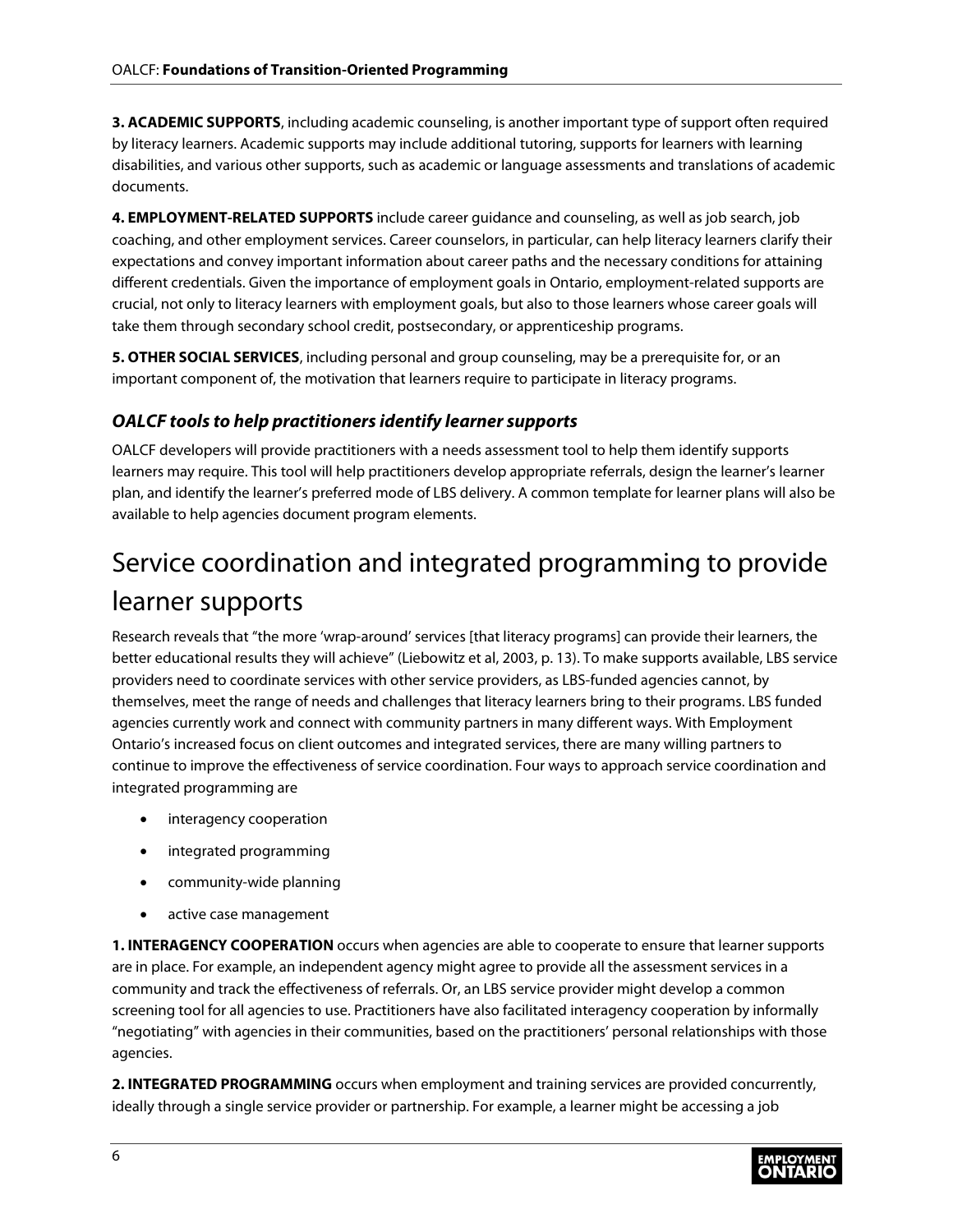**3. ACADEMIC SUPPORTS**, including academic counseling, is another important type of support often required by literacy learners. Academic supports may include additional tutoring, supports for learners with learning disabilities, and various other supports, such as academic or language assessments and translations of academic documents.

**4. EMPLOYMENT-RELATED SUPPORTS** include career guidance and counseling, as well as job search, job coaching, and other employment services. Career counselors, in particular, can help literacy learners clarify their expectations and convey important information about career paths and the necessary conditions for attaining different credentials. Given the importance of employment goals in Ontario, employment-related supports are crucial, not only to literacy learners with employment goals, but also to those learners whose career goals will take them through secondary school credit, postsecondary, or apprenticeship programs.

**5. OTHER SOCIAL SERVICES**, including personal and group counseling, may be a prerequisite for, or an important component of, the motivation that learners require to participate in literacy programs.

#### <span id="page-7-0"></span>*OALCF tools to help practitioners identify learner supports*

OALCF developers will provide practitioners with a needs assessment tool to help them identify supports learners may require. This tool will help practitioners develop appropriate referrals, design the learner's learner plan, and identify the learner's preferred mode of LBS delivery. A common template for learner plans will also be available to help agencies document program elements.

### <span id="page-7-1"></span>Service coordination and integrated programming to provide learner supports

Research reveals that "the more 'wrap-around' services [that literacy programs] can provide their learners, the better educational results they will achieve" (Liebowitz et al, 2003, p. 13). To make supports available, LBS service providers need to coordinate services with other service providers, as LBS-funded agencies cannot, by themselves, meet the range of needs and challenges that literacy learners bring to their programs. LBS funded agencies currently work and connect with community partners in many different ways. With Employment Ontario's increased focus on client outcomes and integrated services, there are many willing partners to continue to improve the effectiveness of service coordination. Four ways to approach service coordination and integrated programming are

- interagency cooperation
- integrated programming
- community-wide planning
- active case management

**1. INTERAGENCY COOPERATION** occurs when agencies are able to cooperate to ensure that learner supports are in place. For example, an independent agency might agree to provide all the assessment services in a community and track the effectiveness of referrals. Or, an LBS service provider might develop a common screening tool for all agencies to use. Practitioners have also facilitated interagency cooperation by informally "negotiating" with agencies in their communities, based on the practitioners' personal relationships with those agencies.

**2. INTEGRATED PROGRAMMING** occurs when employment and training services are provided concurrently, ideally through a single service provider or partnership. For example, a learner might be accessing a job

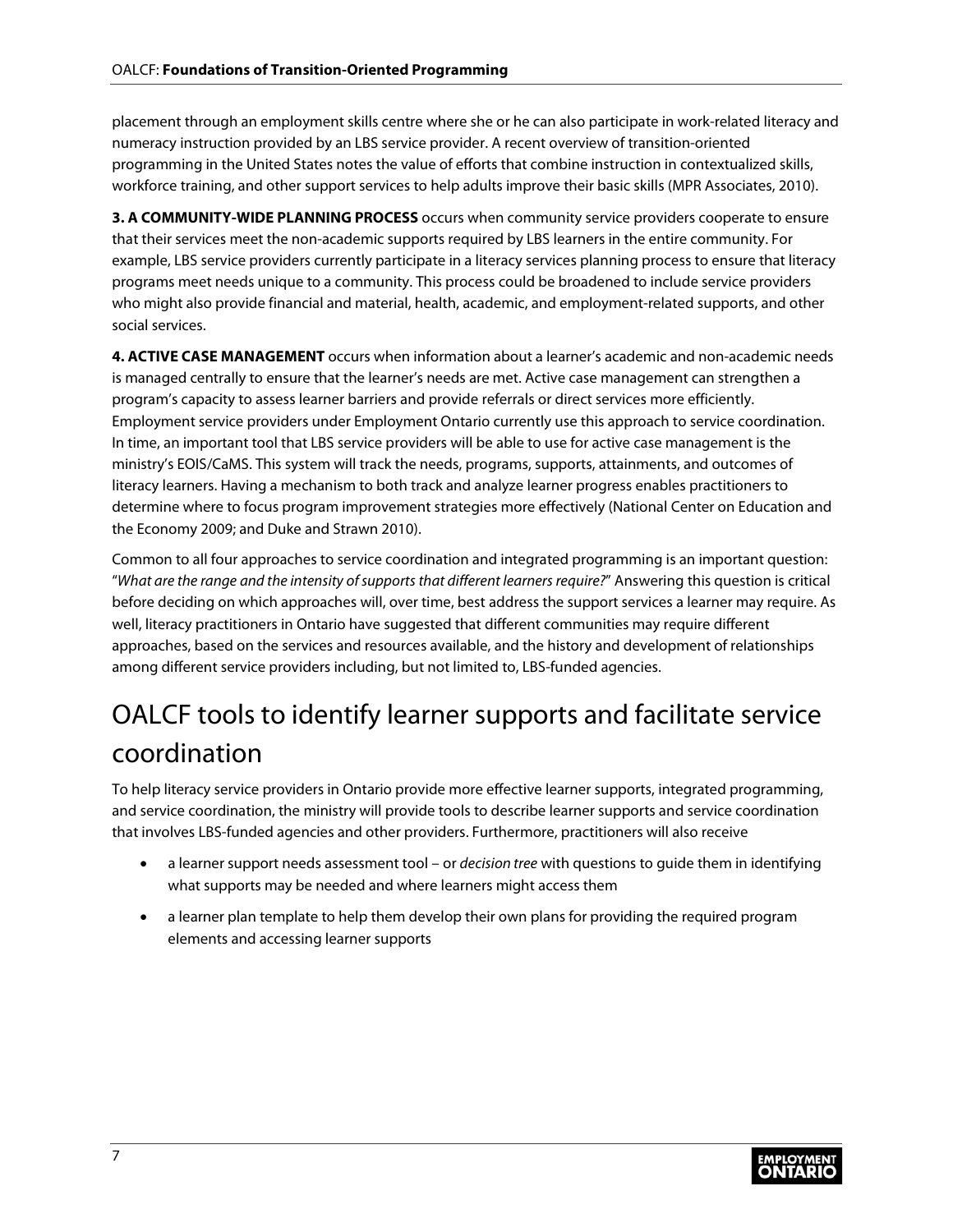placement through an employment skills centre where she or he can also participate in work-related literacy and numeracy instruction provided by an LBS service provider. A recent overview of transition-oriented programming in the United States notes the value of efforts that combine instruction in contextualized skills, workforce training, and other support services to help adults improve their basic skills (MPR Associates, 2010).

**3. A COMMUNITY-WIDE PLANNING PROCESS** occurs when community service providers cooperate to ensure that their services meet the non-academic supports required by LBS learners in the entire community. For example, LBS service providers currently participate in a literacy services planning process to ensure that literacy programs meet needs unique to a community. This process could be broadened to include service providers who might also provide financial and material, health, academic, and employment-related supports, and other social services.

**4. ACTIVE CASE MANAGEMENT** occurs when information about a learner's academic and non-academic needs is managed centrally to ensure that the learner's needs are met. Active case management can strengthen a program's capacity to assess learner barriers and provide referrals or direct services more efficiently. Employment service providers under Employment Ontario currently use this approach to service coordination. In time, an important tool that LBS service providers will be able to use for active case management is the ministry's EOIS/CaMS. This system will track the needs, programs, supports, attainments, and outcomes of literacy learners. Having a mechanism to both track and analyze learner progress enables practitioners to determine where to focus program improvement strategies more effectively (National Center on Education and the Economy 2009; and Duke and Strawn 2010).

Common to all four approaches to service coordination and integrated programming is an important question: "*What are the range and the intensity of supports that different learners require?*" Answering this question is critical before deciding on which approaches will, over time, best address the support services a learner may require. As well, literacy practitioners in Ontario have suggested that different communities may require different approaches, based on the services and resources available, and the history and development of relationships among different service providers including, but not limited to, LBS-funded agencies.

### <span id="page-8-0"></span>OALCF tools to identify learner supports and facilitate service coordination

To help literacy service providers in Ontario provide more effective learner supports, integrated programming, and service coordination, the ministry will provide tools to describe learner supports and service coordination that involves LBS-funded agencies and other providers. Furthermore, practitioners will also receive

- a learner support needs assessment tool or *decision tree* with questions to guide them in identifying what supports may be needed and where learners might access them
- a learner plan template to help them develop their own plans for providing the required program elements and accessing learner supports

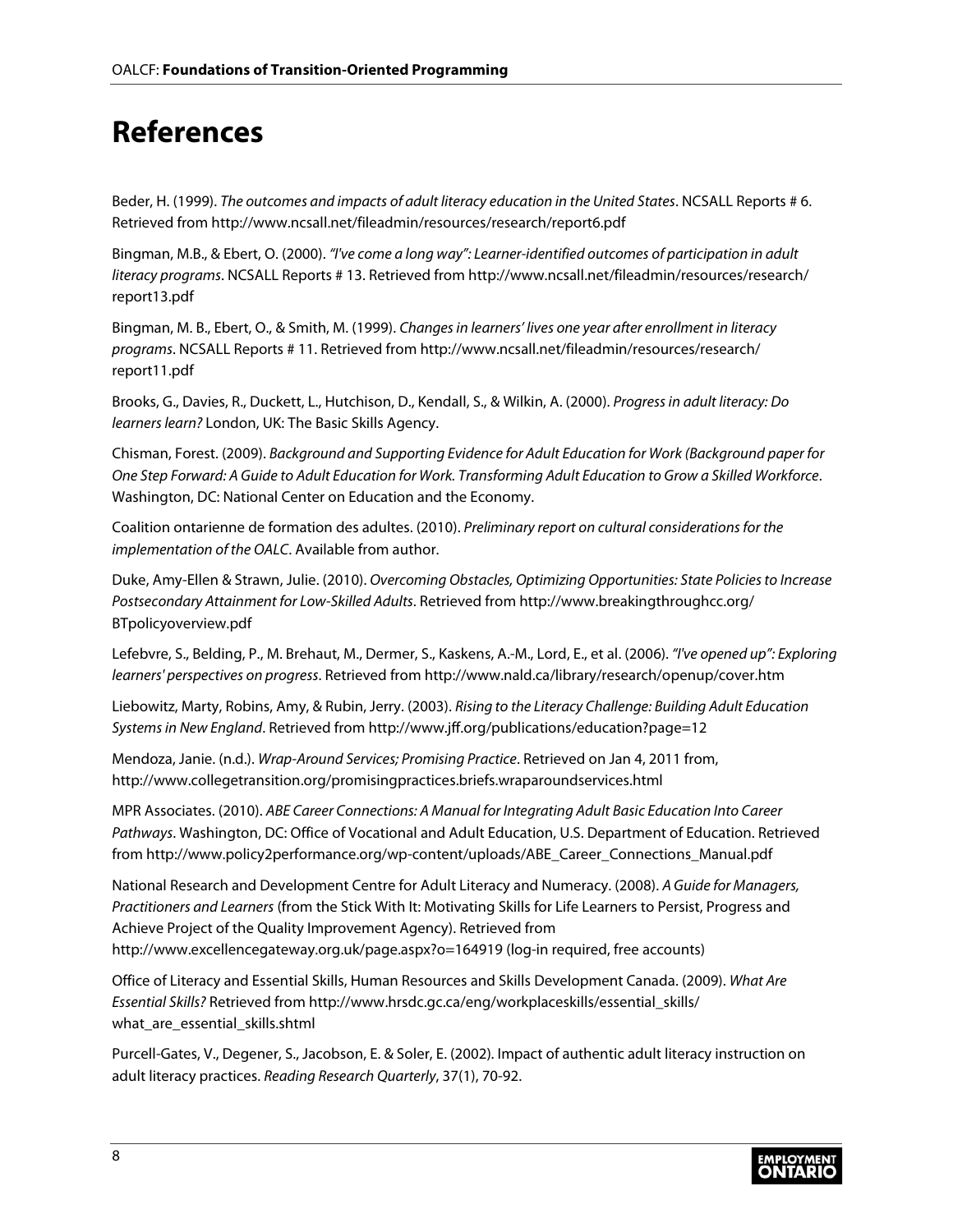### <span id="page-9-0"></span>**References**

Beder, H. (1999). *The outcomes and impacts of adult literacy education in the United States*. NCSALL Reports # 6. Retrieved from <http://www.ncsall.net/fileadmin/resources/research/report6.pdf>

Bingman, M.B., & Ebert, O. (2000). *"I've come a long way": Learner-identified outcomes of participation in adult literacy programs*[. NCSALL Reports # 13. Retrieved from http://www.ncsall.net/fileadmin/resources/research/](http://www.ncsall.net/fileadmin/resources/research/report13.pdf) report13.pdf

Bingman, M. B., Ebert, O., & Smith, M. (1999). *Changes in learners' lives one year after enrollment in literacy programs*[. NCSALL Reports # 11. Retrieved from http://www.ncsall.net/fileadmin/resources/research/](http://www.ncsall.net/fileadmin/resources/research/report11.pdf) report11.pdf

Brooks, G., Davies, R., Duckett, L., Hutchison, D., Kendall, S., & Wilkin, A. (2000). *Progress in adult literacy: Do learners learn?* London, UK: The Basic Skills Agency.

Chisman, Forest. (2009). *Background and Supporting Evidence for Adult Education for Work (Background paper for One Step Forward: A Guide to Adult Education for Work. Transforming Adult Education to Grow a Skilled Workforce*. Washington, DC: National Center on Education and the Economy.

Coalition ontarienne de formation des adultes. (2010). *Preliminary report on cultural considerations for the implementation of the OALC*. Available from author.

Duke, Amy-Ellen & Strawn, Julie. (2010). *Overcoming Obstacles, Optimizing Opportunities: State Policies to Increase Postsecondary Attainment for Low-Skilled Adults*[. Retrieved from http://www.breakingthroughcc.org/](http://www.breakingthroughcc.org/BTpolicyoverview.pdf) BTpolicyoverview.pdf

Lefebvre, S., Belding, P., M. Brehaut, M., Dermer, S., Kaskens, A.-M., Lord, E., et al. (2006). *"I've opened up": Exploring learners' perspectives on progress*. Retrieved from <http://www.nald.ca/library/research/openup/cover.htm>

Liebowitz, Marty, Robins, Amy, & Rubin, Jerry. (2003). *Rising to the Literacy Challenge: Building Adult Education Systems in New England*. Retrieved from <http://www.jff.org/publications/education?page=12>

Mendoza, Janie. (n.d.). *Wrap-Around Services; Promising Practice*. Retrieved on Jan 4, 2011 from, <http://www.collegetransition.org/promisingpractices.briefs.wraparoundservices.html>

MPR Associates. (2010). *ABE Career Connections: A Manual for Integrating Adult Basic Education Into Career Pathways*. Washington, DC: Office of Vocational and Adult Education, U.S. Department of Education. Retrieved from [http://www.policy2performance.org/wp-content/uploads/ABE\\_Career\\_Connections\\_Manual.pdf](http://www.policy2performance.org/wp-content/uploads/ABE_Career_Connections_Manual.pdf)

National Research and Development Centre for Adult Literacy and Numeracy. (2008). *A Guide for Managers, Practitioners and Learners* (from the Stick With It: Motivating Skills for Life Learners to Persist, Progress and Achieve Project of the Quality Improvement Agency). Retrieved from <http://www.excellencegateway.org.uk/page.aspx?o=164919> (log-in required, free accounts)

Office of Literacy and Essential Skills, Human Resources and Skills Development Canada. (2009). *What Are Essential Skills?* [Retrieved from http://www.hrsdc.gc.ca/eng/workplaceskills/essential\\_skills/](http://www.hrsdc.gc.ca/eng/workplaceskills/essential_skills/what_are_essential_skills.shtml) what\_are\_essential\_skills.shtml

Purcell-Gates, V., Degener, S., Jacobson, E. & Soler, E. (2002). Impact of authentic adult literacy instruction on adult literacy practices. *Reading Research Quarterly*, 37(1), 70-92.